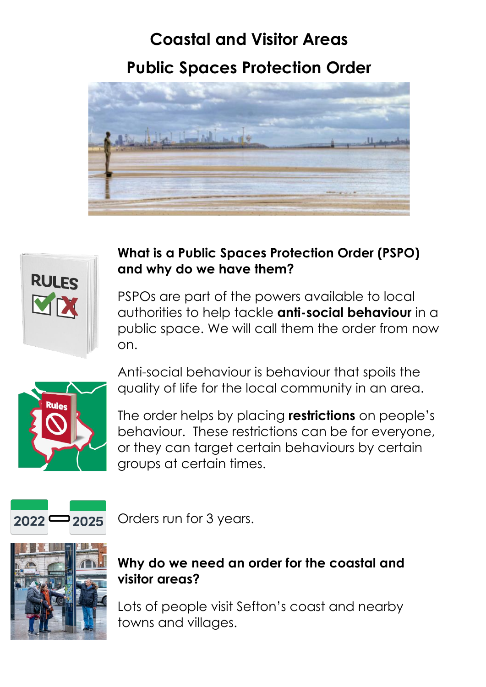## **Coastal and Visitor Areas Public Spaces Protection Order**





## **What is a Public Spaces Protection Order (PSPO) and why do we have them?**

PSPOs are part of the powers available to local authorities to help tackle **anti-social behaviour** in a public space. We will call them the order from now on.



Anti-social behaviour is behaviour that spoils the quality of life for the local community in an area.

The order helps by placing **restrictions** on people's behaviour. These restrictions can be for everyone, or they can target certain behaviours by certain groups at certain times.



Orders run for 3 years.



## **Why do we need an order for the coastal and visitor areas?**

Lots of people visit Sefton's coast and nearby towns and villages.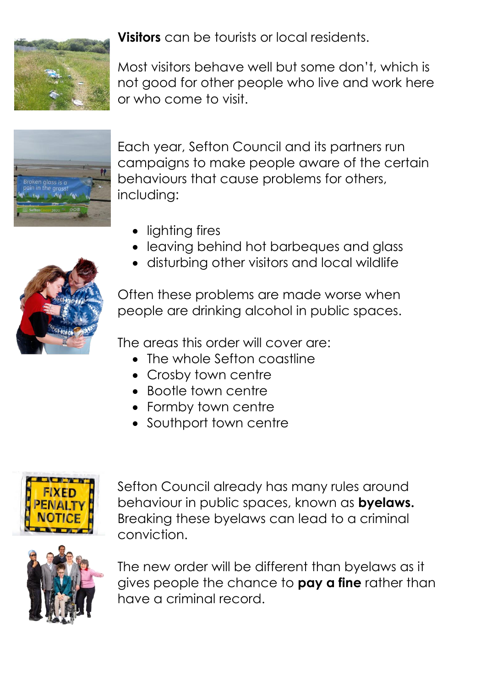

**Visitors** can be tourists or local residents.

Most visitors behave well but some don't, which is not good for other people who live and work here or who come to visit.



Each year, Sefton Council and its partners run campaigns to make people aware of the certain behaviours that cause problems for others, including:

- lighting fires
- leaving behind hot barbeques and glass
- disturbing other visitors and local wildlife



Often these problems are made worse when people are drinking alcohol in public spaces.

The areas this order will cover are:

- The whole Sefton coastline
- Crosby town centre
- Bootle town centre
- Formby town centre
- Southport town centre



Sefton Council already has many rules around behaviour in public spaces, known as **byelaws.** Breaking these byelaws can lead to a criminal conviction.



The new order will be different than byelaws as it gives people the chance to **pay a fine** rather than have a criminal record.